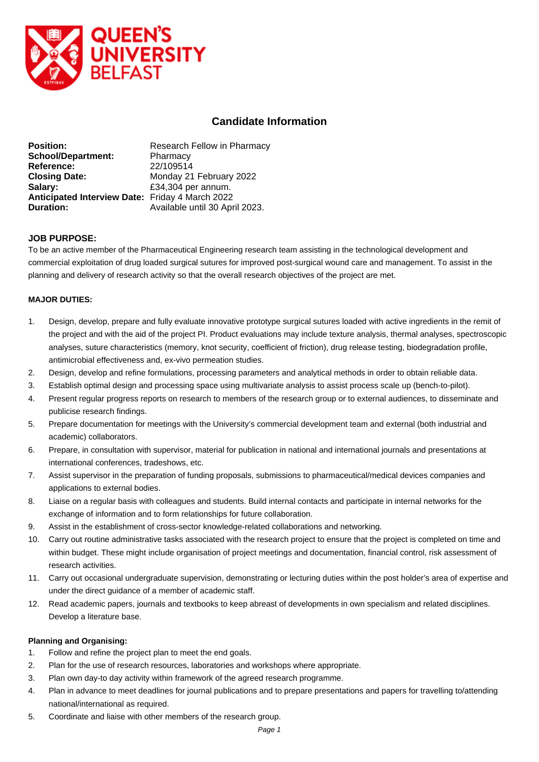

# **Candidate Information**

| <b>Position:</b>                                | Research Fellow in Pharmacy    |
|-------------------------------------------------|--------------------------------|
| <b>School/Department:</b>                       | Pharmacy                       |
| Reference:                                      | 22/109514                      |
| <b>Closing Date:</b>                            | Monday 21 February 2022        |
| Salary:                                         | £34,304 per annum.             |
| Anticipated Interview Date: Friday 4 March 2022 |                                |
| Duration:                                       | Available until 30 April 2023. |

### **JOB PURPOSE:**

To be an active member of the Pharmaceutical Engineering research team assisting in the technological development and commercial exploitation of drug loaded surgical sutures for improved post-surgical wound care and management. To assist in the planning and delivery of research activity so that the overall research objectives of the project are met.

#### **MAJOR DUTIES:**

- 1. Design, develop, prepare and fully evaluate innovative prototype surgical sutures loaded with active ingredients in the remit of the project and with the aid of the project PI. Product evaluations may include texture analysis, thermal analyses, spectroscopic analyses, suture characteristics (memory, knot security, coefficient of friction), drug release testing, biodegradation profile, antimicrobial effectiveness and, ex-vivo permeation studies.
- 2. Design, develop and refine formulations, processing parameters and analytical methods in order to obtain reliable data.
- 3. Establish optimal design and processing space using multivariate analysis to assist process scale up (bench-to-pilot).
- 4. Present regular progress reports on research to members of the research group or to external audiences, to disseminate and publicise research findings.
- 5. Prepare documentation for meetings with the University's commercial development team and external (both industrial and academic) collaborators.
- 6. Prepare, in consultation with supervisor, material for publication in national and international journals and presentations at international conferences, tradeshows, etc.
- 7. Assist supervisor in the preparation of funding proposals, submissions to pharmaceutical/medical devices companies and applications to external bodies.
- 8. Liaise on a regular basis with colleagues and students. Build internal contacts and participate in internal networks for the exchange of information and to form relationships for future collaboration.
- 9. Assist in the establishment of cross-sector knowledge-related collaborations and networking.
- 10. Carry out routine administrative tasks associated with the research project to ensure that the project is completed on time and within budget. These might include organisation of project meetings and documentation, financial control, risk assessment of research activities.
- 11. Carry out occasional undergraduate supervision, demonstrating or lecturing duties within the post holder's area of expertise and under the direct guidance of a member of academic staff.
- 12. Read academic papers, journals and textbooks to keep abreast of developments in own specialism and related disciplines. Develop a literature base.

#### **Planning and Organising:**

- 1. Follow and refine the project plan to meet the end goals.
- 2. Plan for the use of research resources, laboratories and workshops where appropriate.
- 3. Plan own day-to day activity within framework of the agreed research programme.
- 4. Plan in advance to meet deadlines for journal publications and to prepare presentations and papers for travelling to/attending national/international as required.
- 5. Coordinate and liaise with other members of the research group.